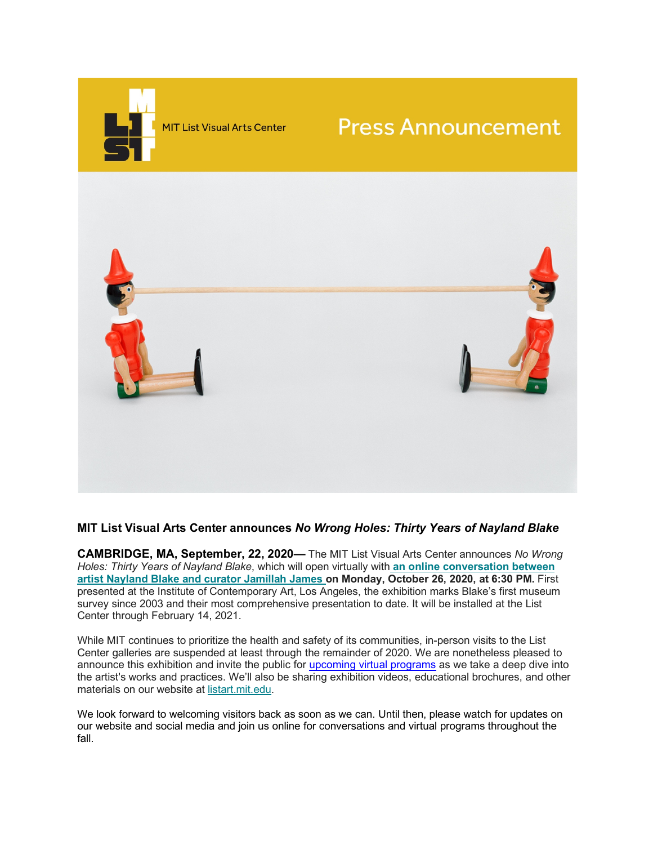

## **MIT List Visual Arts Center announces** *No Wrong Holes: Thirty Years of Nayland Blake*

**CAMBRIDGE, MA, September, 22, 2020—** The MIT List Visual Arts Center announces *No Wrong Holes: Thirty Years of Nayland Blake*, which will open virtually with **an [online conversation between](https://listart.mit.edu/events-programs/public-program-conversation-nayland-blake-and-jamillah-james) artist Nayland Blake and [curator Jamillah](https://listart.mit.edu/events-programs/public-program-conversation-nayland-blake-and-jamillah-james) James on Monday, October 26, 2020, at 6:30 PM.** First presented at the Institute of Contemporary Art, Los Angeles, the exhibition marks Blake's first museum survey since 2003 and their most comprehensive presentation to date. It will be installed at the List Center through February 14, 2021.

While MIT continues to prioritize the health and safety of its communities, in-person visits to the List Center galleries are suspended at least through the remainder of 2020. We are nonetheless pleased to announce this exhibition and invite the public for [upcoming virtual programs](https://listart.mit.edu/events-programs) as we take a deep dive into the artist's works and practices. We'll also be sharing exhibition videos, educational brochures, and other materials on our website at [listart.mit.edu.](https://listart.mit.edu/)

We look forward to welcoming visitors back as soon as we can. Until then, please watch for updates on our website and social media and join us online for conversations and virtual programs throughout the fall.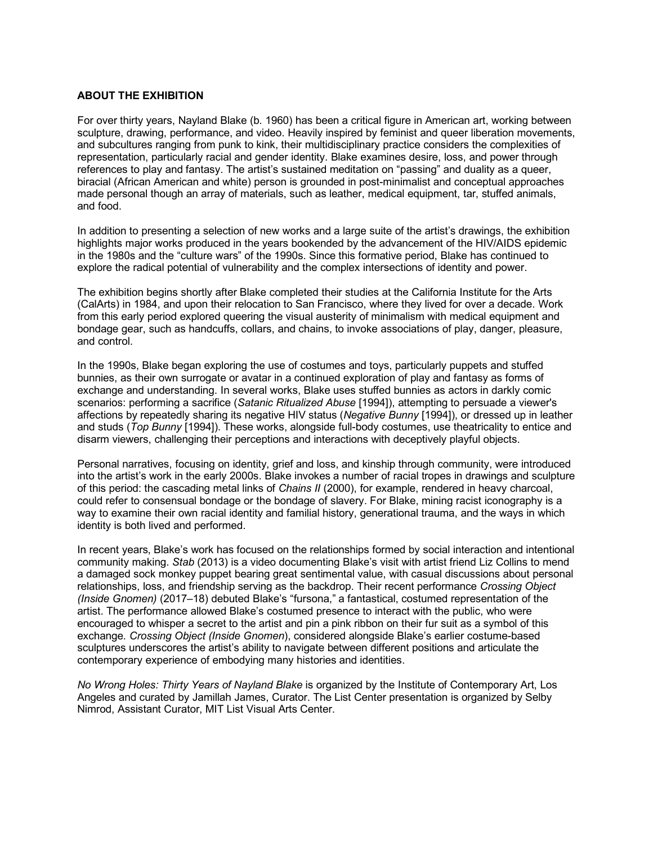## **ABOUT THE EXHIBITION**

For over thirty years, Nayland Blake (b. 1960) has been a critical figure in American art, working between sculpture, drawing, performance, and video. Heavily inspired by feminist and queer liberation movements, and subcultures ranging from punk to kink, their multidisciplinary practice considers the complexities of representation, particularly racial and gender identity. Blake examines desire, loss, and power through references to play and fantasy. The artist's sustained meditation on "passing" and duality as a queer, biracial (African American and white) person is grounded in post-minimalist and conceptual approaches made personal though an array of materials, such as leather, medical equipment, tar, stuffed animals, and food.

In addition to presenting a selection of new works and a large suite of the artist's drawings, the exhibition highlights major works produced in the years bookended by the advancement of the HIV/AIDS epidemic in the 1980s and the "culture wars" of the 1990s. Since this formative period, Blake has continued to explore the radical potential of vulnerability and the complex intersections of identity and power.

The exhibition begins shortly after Blake completed their studies at the California Institute for the Arts (CalArts) in 1984, and upon their relocation to San Francisco, where they lived for over a decade. Work from this early period explored queering the visual austerity of minimalism with medical equipment and bondage gear, such as handcuffs, collars, and chains, to invoke associations of play, danger, pleasure, and control.

In the 1990s, Blake began exploring the use of costumes and toys, particularly puppets and stuffed bunnies, as their own surrogate or avatar in a continued exploration of play and fantasy as forms of exchange and understanding. In several works, Blake uses stuffed bunnies as actors in darkly comic scenarios: performing a sacrifice (*Satanic Ritualized Abuse* [1994]), attempting to persuade a viewer's affections by repeatedly sharing its negative HIV status (*Negative Bunny* [1994]), or dressed up in leather and studs (*Top Bunny* [1994]). These works, alongside full-body costumes, use theatricality to entice and disarm viewers, challenging their perceptions and interactions with deceptively playful objects.

Personal narratives, focusing on identity, grief and loss, and kinship through community, were introduced into the artist's work in the early 2000s. Blake invokes a number of racial tropes in drawings and sculpture of this period: the cascading metal links of *Chains II* (2000), for example, rendered in heavy charcoal, could refer to consensual bondage or the bondage of slavery. For Blake, mining racist iconography is a way to examine their own racial identity and familial history, generational trauma, and the ways in which identity is both lived and performed.

In recent years, Blake's work has focused on the relationships formed by social interaction and intentional community making. *Stab* (2013) is a video documenting Blake's visit with artist friend Liz Collins to mend a damaged sock monkey puppet bearing great sentimental value, with casual discussions about personal relationships, loss, and friendship serving as the backdrop. Their recent performance *Crossing Object (Inside Gnomen)* (2017–18) debuted Blake's "fursona," a fantastical, costumed representation of the artist. The performance allowed Blake's costumed presence to interact with the public, who were encouraged to whisper a secret to the artist and pin a pink ribbon on their fur suit as a symbol of this exchange*. Crossing Object (Inside Gnomen*), considered alongside Blake's earlier costume-based sculptures underscores the artist's ability to navigate between different positions and articulate the contemporary experience of embodying many histories and identities.

*No Wrong Holes: Thirty Years of Nayland Blake* is organized by the Institute of Contemporary Art, Los Angeles and curated by Jamillah James, Curator. The List Center presentation is organized by Selby Nimrod, Assistant Curator, MIT List Visual Arts Center.